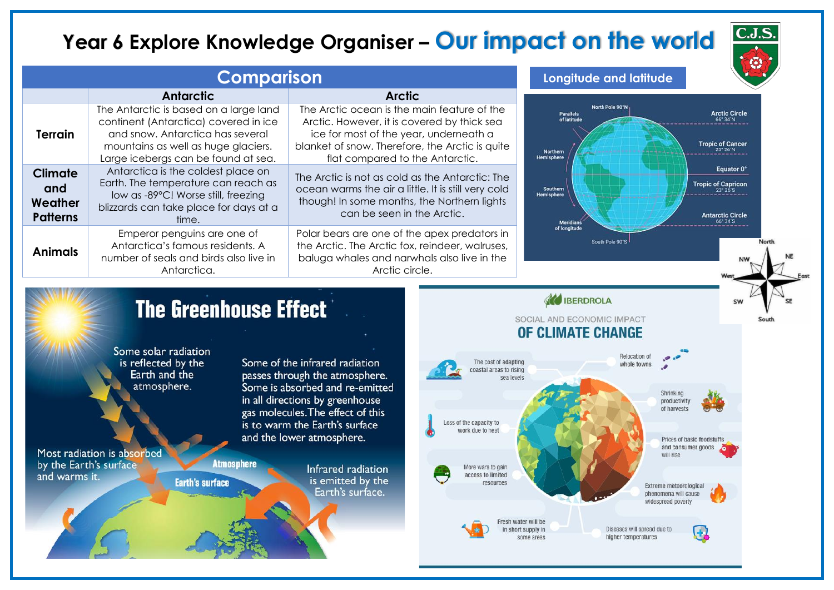## Year 6 Explore Knowledge Organiser - Our impact on the world

|                                                     | <b>Comparison</b>                                                                                                                                                   | Longitude and latitude                                                                                                                                                              |                                             |                                                             |
|-----------------------------------------------------|---------------------------------------------------------------------------------------------------------------------------------------------------------------------|-------------------------------------------------------------------------------------------------------------------------------------------------------------------------------------|---------------------------------------------|-------------------------------------------------------------|
|                                                     | <b>Antarctic</b>                                                                                                                                                    | <b>Arctic</b>                                                                                                                                                                       |                                             |                                                             |
|                                                     | The Antarctic is based on a large land<br>continent (Antarctica) covered in ice                                                                                     | The Arctic ocean is the main feature of the<br>Arctic. However, it is covered by thick sea                                                                                          | North Pole 90°N<br>Parallels<br>of latitude | <b>Arctic Circle</b>                                        |
| <b>Terrain</b>                                      | and snow. Antarctica has several<br>mountains as well as huge glaciers.<br>Large icebergs can be found at sea.                                                      | ice for most of the year, underneath a<br>blanket of snow. Therefore, the Arctic is quite<br>flat compared to the Antarctic.                                                        | Northern<br><b>Hemisphere</b>               | <b>Tropic of Cancer</b>                                     |
| <b>Climate</b><br>and<br>Weather<br><b>Patterns</b> | Antarctica is the coldest place on<br>Earth. The temperature can reach as<br>low as -89°C! Worse still, freezing<br>blizzards can take place for days at a<br>time. | The Arctic is not as cold as the Antarctic: The<br>ocean warms the air a little. It is still very cold<br>though! In some months, the Northern lights<br>can be seen in the Arctic. | Southern<br>Hemisphere<br><b>Meridians</b>  | Equator 0*<br>Tropic of Capricon<br><b>Antarctic Circle</b> |
| <b>Animals</b>                                      | Emperor penguins are one of<br>Antarctica's famous residents. A<br>number of seals and birds also live in<br>Antarctica.                                            | Polar bears are one of the apex predators in<br>the Arctic. The Arctic fox, reindeer, walruses,<br>baluga whales and narwhals also live in the<br>Arctic circle.                    | of longitude<br>South Pole 90°S             | North                                                       |

## **The Greenhouse Effect**

Some solar radiation is reflected by the Earth and the atmosphere.

Most radiation is absorbed by the Earth's surface and warms it.

Some of the infrared radiation passes through the atmosphere. Some is absorbed and re-emitted in all directions by greenhouse gas molecules. The effect of this is to warm the Earth's surface and the lower atmosphere.

**Atmosphere Earth's surface** 

Infrared radiation is emitted by the Earth's surface.



**AND IBERDROLA** 

SOCIAL AND ECONOMIC IMPACT

**C.J.S.**